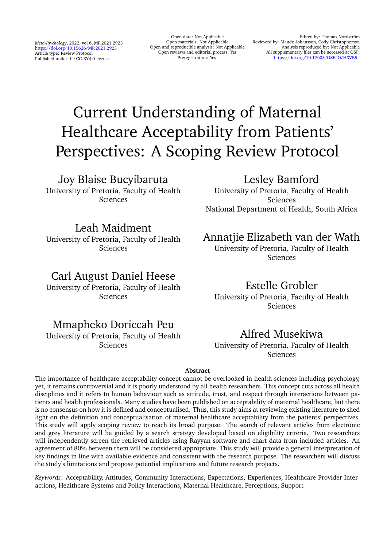*Meta-Psychology*, 2022, vol 6, MP.2021.2923 <https://doi.org/10.15626/MP.2021.2923> Article type: Review Protocol Published under the CC-BY4.0 license

Open data: Not Applicable Open materials: Not Applicable Open and reproducible analysis: Not Applicable Open reviews and editorial process: Yes Preregistration: Yes

Edited by: Thomas Nordström Reviewed by: Maude Johansson, Cody Christopherson Analysis reproduced by: Not Applicable All supplementary files can be accessed at OSF: [https://doi.org/10.17605/OSF.IO/HXVB5](https://doi.org/10.17605/OSF.IO/HXVB5 )

# Current Understanding of Maternal Healthcare Acceptability from Patients' Perspectives: A Scoping Review Protocol

### Joy Blaise Bucyibaruta

University of Pretoria, Faculty of Health Sciences

## Lesley Bamford

University of Pretoria, Faculty of Health Sciences National Department of Health, South Africa

### Leah Maidment

University of Pretoria, Faculty of Health Sciences

# Carl August Daniel Heese

University of Pretoria, Faculty of Health Sciences

# Mmapheko Doriccah Peu

University of Pretoria, Faculty of Health Sciences

# Annatiie Elizabeth van der Wath

University of Pretoria, Faculty of Health Sciences

# Estelle Grobler

University of Pretoria, Faculty of Health Sciences

# Alfred Musekiwa

University of Pretoria, Faculty of Health Sciences

#### **Abstract**

The importance of healthcare acceptability concept cannot be overlooked in health sciences including psychology, yet, it remains controversial and it is poorly understood by all health researchers. This concept cuts across all health disciplines and it refers to human behaviour such as attitude, trust, and respect through interactions between patients and health professionals. Many studies have been published on acceptability of maternal healthcare, but there is no consensus on how it is defined and conceptualised. Thus, this study aims at reviewing existing literature to shed light on the definition and conceptualisation of maternal healthcare acceptability from the patients' perspectives. This study will apply scoping review to reach its broad purpose. The search of relevant articles from electronic and grey literature will be guided by a search strategy developed based on eligibility criteria. Two researchers will independently screen the retrieved articles using Rayyan software and chart data from included articles. An agreement of 80% between them will be considered appropriate. This study will provide a general interpretation of key findings in line with available evidence and consistent with the research purpose. The researchers will discuss the study's limitations and propose potential implications and future research projects.

*Keywords*: Acceptability, Attitudes, Community Interactions, Expectations, Experiences, Healthcare Provider Interactions, Healthcare Systems and Policy Interactions, Maternal Healthcare, Perceptions, Support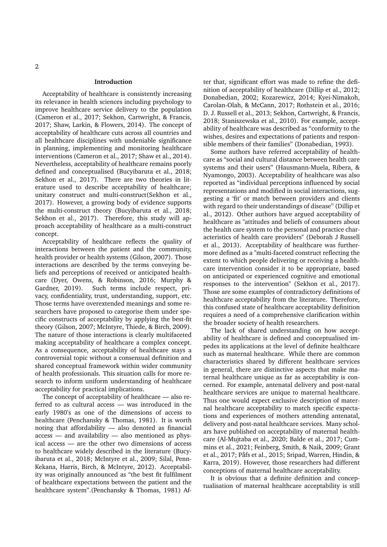#### **Introduction**

Acceptability of healthcare is consistently increasing its relevance in health sciences including psychology to improve healthcare service delivery to the population (Cameron et al., 2017; Sekhon, Cartwright, & Francis, 2017; Shaw, Larkin, & Flowers, 2014). The concept of acceptability of healthcare cuts across all countries and all healthcare disciplines with undeniable significance in planning, implementing and monitoring healthcare interventions (Cameron et al., 2017; Shaw et al., 2014). Nevertheless, acceptability of healthcare remains poorly defined and conceptualised (Bucyibaruta et al., 2018; Sekhon et al., 2017). There are two theories in literature used to describe acceptability of healthcare; unitary construct and multi-construct(Sekhon et al., 2017). However, a growing body of evidence supports the multi-construct theory (Bucyibaruta et al., 2018; Sekhon et al., 2017). Therefore, this study will approach acceptability of healthcare as a multi-construct concept.

Acceptability of healthcare reflects the quality of interactions between the patient and the community, health provider or health systems (Gilson, 2007). Those interactions are described by the terms conveying beliefs and perceptions of received or anticipated healthcare (Dyer, Owens, & Robinson, 2016; Murphy & Gardner, 2019). Such terms include respect, privacy, confidentiality, trust, understanding, support, etc. Those terms have overextended meanings and some researchers have proposed to categorise them under specific constructs of acceptability by applying the best-fit theory (Gilson, 2007; McIntyre, Thiede, & Birch, 2009). The nature of those interactions is clearly multifaceted making acceptability of healthcare a complex concept. As a consequence, acceptability of healthcare stays a controversial topic without a consensual definition and shared conceptual framework within wider community of health professionals. This situation calls for more research to inform uniform understanding of healthcare acceptability for practical implications.

The concept of acceptability of healthcare — also referred to as cultural access — was introduced in the early 1980's as one of the dimensions of access to healthcare (Penchansky & Thomas, 1981). It is worth noting that affordability — also denoted as financial access — and availability — also mentioned as physical access — are the other two dimensions of access to healthcare widely described in the literature (Bucyibaruta et al., 2018; McIntyre et al., 2009; Silal, Penn-Kekana, Harris, Birch, & McIntyre, 2012). Acceptability was originally announced as "the best fit fulfilment of healthcare expectations between the patient and the healthcare system".(Penchansky & Thomas, 1981) Af-

ter that, significant effort was made to refine the definition of acceptability of healthcare (Dillip et al., 2012; Donabedian, 2002; Kozarewicz, 2014; Kyei-Nimakoh, Carolan-Olah, & McCann, 2017; Rothstein et al., 2016; D. J. Russell et al., 2013; Sekhon, Cartwright, & Francis, 2018; Staniszewska et al., 2010). For example, acceptability of healthcare was described as "conformity to the wishes, desires and expectations of patients and responsible members of their families" (Donabedian, 1993).

Some authors have referred acceptability of healthcare as "social and cultural distance between health care systems and their users" (Hausmann-Muela, Ribera, & Nyamongo, 2003). Acceptability of healthcare was also reported as "individual perceptions influenced by social representations and modified in social interactions, suggesting a 'fit' or match between providers and clients with regard to their understandings of disease" (Dillip et al., 2012). Other authors have argued acceptability of healthcare as "attitudes and beliefs of consumers about the health care system to the personal and practice characteristics of health care providers" (Deborah J Russell et al., 2013). Acceptability of healthcare was furthermore defined as a "multi-faceted construct reflecting the extent to which people delivering or receiving a healthcare intervention consider it to be appropriate, based on anticipated or experienced cognitive and emotional responses to the intervention" (Sekhon et al., 2017). Those are some examples of contradictory definitions of healthcare acceptability from the literature. Therefore, this confused state of healthcare acceptability definition requires a need of a comprehensive clarification within the broader society of health researchers.

The lack of shared understanding on how acceptability of healthcare is defined and conceptualised impedes its applications at the level of definite healthcare such as maternal healthcare. While there are common characteristics shared by different healthcare services in general, there are distinctive aspects that make maternal healthcare unique as far as acceptability is concerned. For example, antenatal delivery and post-natal healthcare services are unique to maternal healthcare. Thus one would expect exclusive description of maternal healthcare acceptability to match specific expectations and experiences of mothers attending antenatal, delivery and post-natal healthcare services. Many scholars have published on acceptability of maternal healthcare (Al-Mujtaba et al., 2020; Balde et al., 2017; Cummins et al., 2021; Feinberg, Smith, & Naik, 2009; Grant et al., 2017; Påfs et al., 2015; Sripad, Warren, Hindin, & Karra, 2019). However, those researchers had different conceptions of maternal healthcare acceptability.

It is obvious that a definite definition and conceptualisation of maternal healthcare acceptability is still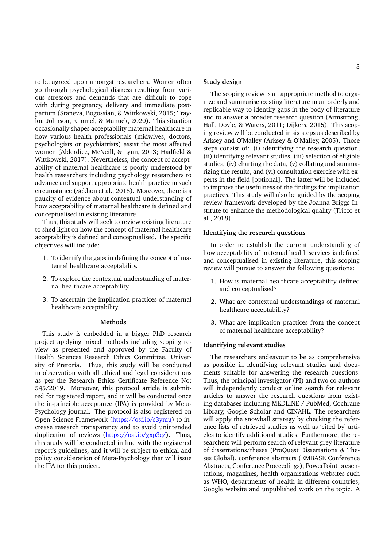to be agreed upon amongst researchers. Women often go through psychological distress resulting from various stressors and demands that are difficult to cope with during pregnancy, delivery and immediate postpartum (Staneva, Bogossian, & Wittkowski, 2015; Traylor, Johnson, Kimmel, & Manuck, 2020). This situation occasionally shapes acceptability maternal healthcare in how various health professionals (midwives, doctors, psychologists or psychiatrists) assist the most affected women (Alderdice, McNeill, & Lynn, 2013; Hadfield & Wittkowski, 2017). Nevertheless, the concept of acceptability of maternal healthcare is poorly understood by health researchers including psychology researchers to advance and support appropriate health practice in such circumstance (Sekhon et al., 2018). Moreover, there is a paucity of evidence about contextual understanding of how acceptability of maternal healthcare is defined and conceptualised in existing literature.

Thus, this study will seek to review existing literature to shed light on how the concept of maternal healthcare acceptability is defined and conceptualised. The specific objectives will include:

- 1. To identify the gaps in defining the concept of maternal healthcare acceptability.
- 2. To explore the contextual understanding of maternal healthcare acceptability.
- 3. To ascertain the implication practices of maternal healthcare acceptability.

#### **Methods**

This study is embedded in a bigger PhD research project applying mixed methods including scoping review as presented and approved by the Faculty of Health Sciences Research Ethics Committee, University of Pretoria. Thus, this study will be conducted in observation with all ethical and legal considerations as per the Research Ethics Certificate Reference No: 545/2019. Moreover, this protocol article is submitted for registered report, and it will be conducted once the in-principle acceptance (IPA) is provided by Meta-Psychology journal. The protocol is also registered on Open Science Framework [\(https://osf.io/s3ymu\)](https://osf.io/s3ymu) to increase research transparency and to avoid unintended duplication of reviews [\(https://osf.io/gxp3c/\)](https://osf.io/gxp3c/). Thus, this study will be conducted in line with the registered report's guidelines, and it will be subject to ethical and policy consideration of Meta-Psychology that will issue the IPA for this project.

#### **Study design**

The scoping review is an appropriate method to organize and summarise existing literature in an orderly and replicable way to identify gaps in the body of literature and to answer a broader research question (Armstrong, Hall, Doyle, & Waters, 2011; Dijkers, 2015). This scoping review will be conducted in six steps as described by Arksey and O'Malley (Arksey & O'Malley, 2005). Those steps consist of: (i) identifying the research question, (ii) identifying relevant studies, (iii) selection of eligible studies, (iv) charting the data, (v) collating and summarizing the results, and (vi) consultation exercise with experts in the field [optional]. The latter will be included to improve the usefulness of the findings for implication practices. This study will also be guided by the scoping review framework developed by the Joanna Briggs Institute to enhance the methodological quality (Tricco et al., 2018).

#### **Identifying the research questions**

In order to establish the current understanding of how acceptability of maternal health services is defined and conceptualised in existing literature, this scoping review will pursue to answer the following questions:

- 1. How is maternal healthcare acceptability defined and conceptualised?
- 2. What are contextual understandings of maternal healthcare acceptability?
- 3. What are implication practices from the concept of maternal healthcare acceptability?

#### **Identifying relevant studies**

The researchers endeavour to be as comprehensive as possible in identifying relevant studies and documents suitable for answering the research questions. Thus, the principal investigator (PI) and two co-authors will independently conduct online search for relevant articles to answer the research questions from existing databases including MEDLINE / PubMed, Cochrane Library, Google Scholar and CINAHL. The researchers will apply the snowball strategy by checking the reference lists of retrieved studies as well as 'cited by' articles to identify additional studies. Furthermore, the researchers will perform search of relevant grey literature of dissertations/theses (ProQuest Dissertations & Theses Global), conference abstracts (EMBASE Conference Abstracts, Conference Proceedings), PowerPoint presentations, magazines, health organisations websites such as WHO, departments of health in different countries, Google website and unpublished work on the topic. A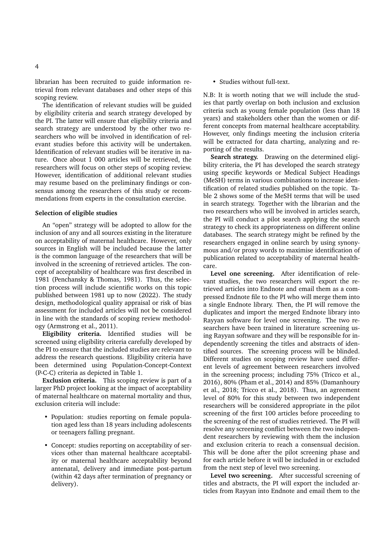librarian has been recruited to guide information retrieval from relevant databases and other steps of this scoping review.

The identification of relevant studies will be guided by eligibility criteria and search strategy developed by the PI. The latter will ensure that eligibility criteria and search strategy are understood by the other two researchers who will be involved in identification of relevant studies before this activity will be undertaken. Identification of relevant studies will be iterative in nature. Once about 1 000 articles will be retrieved, the researchers will focus on other steps of scoping review. However, identification of additional relevant studies may resume based on the preliminary findings or consensus among the researchers of this study or recommendations from experts in the consultation exercise.

#### **Selection of eligible studies**

An "open" strategy will be adopted to allow for the inclusion of any and all sources existing in the literature on acceptability of maternal healthcare. However, only sources in English will be included because the latter is the common language of the researchers that will be involved in the screening of retrieved articles. The concept of acceptability of healthcare was first described in 1981 (Penchansky & Thomas, 1981). Thus, the selection process will include scientific works on this topic published between 1981 up to now (2022). The study design, methodological quality appraisal or risk of bias assessment for included articles will not be considered in line with the standards of scoping review methodology (Armstrong et al., 2011).

**Eligibility criteria.** Identified studies will be screened using eligibility criteria carefully developed by the PI to ensure that the included studies are relevant to address the research questions. Eligibility criteria have been determined using Population-Concept-Context (P-C-C) criteria as depicted in Table 1.

**Exclusion criteria.** This scoping review is part of a larger PhD project looking at the impact of acceptability of maternal healthcare on maternal mortality and thus, exclusion criteria will include:

- Population: studies reporting on female population aged less than 18 years including adolescents or teenagers falling pregnant.
- Concept: studies reporting on acceptability of services other than maternal healthcare acceptability or maternal healthcare acceptability beyond antenatal, delivery and immediate post-partum (within 42 days after termination of pregnancy or delivery).

• Studies without full-text.

N.B: It is worth noting that we will include the studies that partly overlap on both inclusion and exclusion criteria such as young female population (less than 18 years) and stakeholders other than the women or different concepts from maternal healthcare acceptability. However, only findings meeting the inclusion criteria will be extracted for data charting, analyzing and reporting of the results.

**Search strategy.** Drawing on the determined eligibility criteria, the PI has developed the search strategy using specific keywords or Medical Subject Headings (MeSH) terms in various combinations to increase identification of related studies published on the topic. Table 2 shows some of the MeSH terms that will be used in search strategy. Together with the librarian and the two researchers who will be involved in articles search, the PI will conduct a pilot search applying the search strategy to check its appropriateness on different online databases. The search strategy might be refined by the researchers engaged in online search by using synonymous and/or proxy words to maximise identification of publication related to acceptability of maternal healthcare.

**Level one screening.** After identification of relevant studies, the two researchers will export the retrieved articles into Endnote and email them as a compressed Endnote file to the PI who will merge them into a single Endnote library. Then, the PI will remove the duplicates and import the merged Endnote library into Rayyan software for level one screening. The two researchers have been trained in literature screening using Rayyan software and they will be responsible for independently screening the titles and abstracts of identified sources. The screening process will be blinded. Different studies on scoping review have used different levels of agreement between researchers involved in the screening process; including 75% (Tricco et al., 2016), 80% (Pham et al., 2014) and 85% (Damanhoury et al., 2018; Tricco et al., 2018). Thus, an agreement level of 80% for this study between two independent researchers will be considered appropriate in the pilot screening of the first 100 articles before proceeding to the screening of the rest of studies retrieved. The PI will resolve any screening conflict between the two independent researchers by reviewing with them the inclusion and exclusion criteria to reach a consensual decision. This will be done after the pilot screening phase and for each article before it will be included in or excluded from the next step of level two screening.

**Level two screening.** After successful screening of titles and abstracts, the PI will export the included articles from Rayyan into Endnote and email them to the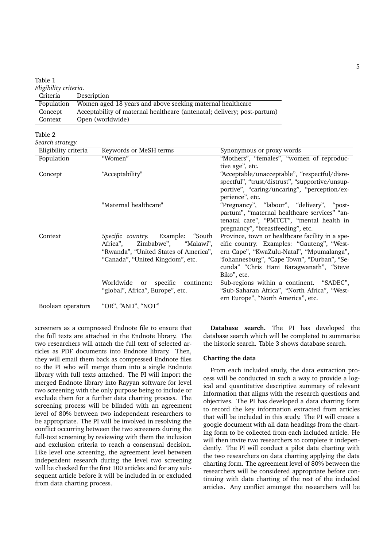| Table 1               |                                                                         |
|-----------------------|-------------------------------------------------------------------------|
| Eligibility criteria. |                                                                         |
| Criteria              | Description                                                             |
| Population            | Women aged 18 years and above seeking maternal healthcare               |
| Concept               | Acceptability of maternal healthcare (antenatal; delivery; post-partum) |
| Context               | Open (worldwide)                                                        |

Table 2 *Search strategy.*

| search strategy.     |                                       |                                                 |
|----------------------|---------------------------------------|-------------------------------------------------|
| Eligibility criteria | Keywords or MeSH terms                | Synonymous or proxy words                       |
| Population           | "Women"                               | "Mothers", "females", "women of reproduc-       |
|                      |                                       | tive age", etc.                                 |
| Concept              | "Acceptability"                       | "Acceptable/unacceptable", "respectful/disre-   |
|                      |                                       | spectful", "trust/distrust", "supportive/unsup- |
|                      |                                       | portive", "caring/uncaring", "perception/ex-    |
|                      |                                       | perience", etc.                                 |
|                      | "Maternal healthcare"                 | "Pregnancy", "labour", "delivery", "post-       |
|                      |                                       | partum", "maternal healthcare services" "an-    |
|                      |                                       | tenatal care", "PMTCT", "mental health in       |
|                      |                                       | pregnancy", "breastfeeding", etc.               |
| Context              | Specific country. Example: "South     | Province, town or healthcare facility in a spe- |
|                      | Africa",<br>Zimbabwe", "Malawi",      | cific country. Examples: "Gauteng", "West-      |
|                      | "Rwanda", "United States of America", | ern Cape", "KwaZulu-Natal", "Mpumalanga",       |
|                      | "Canada", "United Kingdom", etc.      | "Johannesburg", "Cape Town", "Durban", "Se-     |
|                      |                                       | cunda" "Chris Hani Baragwanath", "Steve         |
|                      |                                       | Biko", etc.                                     |
|                      | Worldwide or specific continent:      | Sub-regions within a continent. "SADEC",        |
|                      | "global", Africa", Europe", etc.      | "Sub-Saharan Africa", "North Africa", "West-    |
|                      |                                       | ern Europe", "North America", etc.              |
| Boolean operators    | "OR", "AND", "NOT"                    |                                                 |

screeners as a compressed Endnote file to ensure that the full texts are attached in the Endnote library. The two researchers will attach the full text of selected articles as PDF documents into Endnote library. Then, they will email them back as compressed Endnote files to the PI who will merge them into a single Endnote library with full texts attached. The PI will import the merged Endnote library into Rayyan software for level two screening with the only purpose being to include or exclude them for a further data charting process. The screening process will be blinded with an agreement level of 80% between two independent researchers to be appropriate. The PI will be involved in resolving the conflict occurring between the two screeners during the full-text screening by reviewing with them the inclusion and exclusion criteria to reach a consensual decision. Like level one screening, the agreement level between independent research during the level two screening will be checked for the first 100 articles and for any subsequent article before it will be included in or excluded from data charting process.

**Database search.** The PI has developed the database search which will be completed to summarise the historic search. Table 3 shows database search.

#### **Charting the data**

From each included study, the data extraction process will be conducted in such a way to provide a logical and quantitative descriptive summary of relevant information that aligns with the research questions and objectives. The PI has developed a data charting form to record the key information extracted from articles that will be included in this study. The PI will create a google document with all data headings from the charting form to be collected from each included article. He will then invite two researchers to complete it independently. The PI will conduct a pilot data charting with the two researchers on data charting applying the data charting form. The agreement level of 80% between the researchers will be considered appropriate before continuing with data charting of the rest of the included articles. Any conflict amongst the researchers will be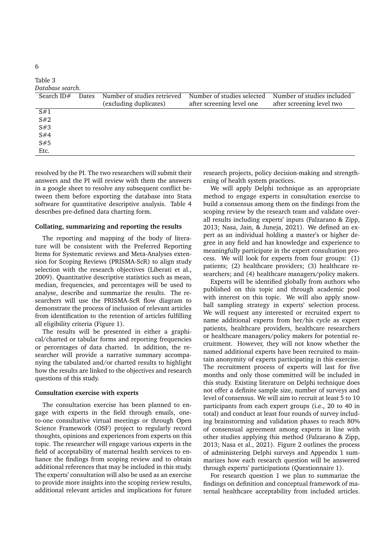| Table 3          |       |                             |                            |                            |
|------------------|-------|-----------------------------|----------------------------|----------------------------|
| Database search. |       |                             |                            |                            |
| Search $ID#$     | Dates | Number of studies retrieved | Number of studies selected | Number of studies included |
|                  |       | (excluding duplicates)      | after screening level one  | after screening level two  |
| S#1              |       |                             |                            |                            |
| S#2              |       |                             |                            |                            |
| S#3              |       |                             |                            |                            |
| S#4              |       |                             |                            |                            |
| S#5              |       |                             |                            |                            |
| Etc.             |       |                             |                            |                            |

resolved by the PI. The two researchers will submit their answers and the PI will review with them the answers in a google sheet to resolve any subsequent conflict between them before exporting the database into Stata software for quantitative descriptive analysis. Table 4 describes pre-defined data charting form.

#### **Collating, summarizing and reporting the results**

The reporting and mapping of the body of literature will be consistent with the Preferred Reporting Items for Systematic reviews and Meta-Analyses extension for Scoping Reviews (PRISMA-ScR) to align study selection with the research objectives (Liberati et al., 2009). Quantitative descriptive statistics such as mean, median, frequencies, and percentages will be used to analyse, describe and summarize the results. The researchers will use the PRISMA-ScR flow diagram to demonstrate the process of inclusion of relevant articles from identification to the retention of articles fulfilling all eligibility criteria (Figure 1).

The results will be presented in either a graphical/charted or tabular forms and reporting frequencies or percentages of data charted. In addition, the researcher will provide a narrative summary accompanying the tabulated and/or charted results to highlight how the results are linked to the objectives and research questions of this study.

#### **Consultation exercise with experts**

The consultation exercise has been planned to engage with experts in the field through emails, oneto-one consultative virtual meetings or through Open Science Framework (OSF) project to regularly record thoughts, opinions and experiences from experts on this topic. The researcher will engage various experts in the field of acceptability of maternal health services to enhance the findings from scoping review and to obtain additional references that may be included in this study. The experts' consultation will also be used as an exercise to provide more insights into the scoping review results, additional relevant articles and implications for future

research projects, policy decision-making and strengthening of health system practices.

We will apply Delphi technique as an appropriate method to engage experts in consultation exercise to build a consensus among them on the findings from the scoping review by the research team and validate overall results including experts' inputs (Falzarano & Zipp, 2013; Nasa, Jain, & Juneja, 2021). We defined an expert as an individual holding a master's or higher degree in any field and has knowledge and experience to meaningfully participate in the expert consultation process. We will look for experts from four groups: (1) patients; (2) healthcare providers; (3) healthcare researchers; and (4) healthcare managers/policy makers.

Experts will be identified globally from authors who published on this topic and through academic pool with interest on this topic. We will also apply snowball sampling strategy in experts' selection process. We will request any interested or recruited expert to name additional experts from her/his cycle as expert patients, healthcare providers, healthcare researchers or healthcare managers/policy makers for potential recruitment. However, they will not know whether the named additional experts have been recruited to maintain anonymity of experts participating in this exercise. The recruitment process of experts will last for five months and only those committed will be included in this study. Existing literature on Delphi technique does not offer a definite sample size, number of surveys and level of consensus. We will aim to recruit at least 5 to 10 participants from each expert groups (i.e., 20 to 40 in total) and conduct at least four rounds of survey including brainstorming and validation phases to reach 80% of consensual agreement among experts in line with other studies applying this method (Falzarano & Zipp, 2013; Nasa et al., 2021). Figure 2 outlines the process of administering Delphi surveys and Appendix 1 summarizes how each research question will be answered through experts' participations (Questionnaire 1).

For research question 1 we plan to summarize the findings on definition and conceptual framework of maternal healthcare acceptability from included articles.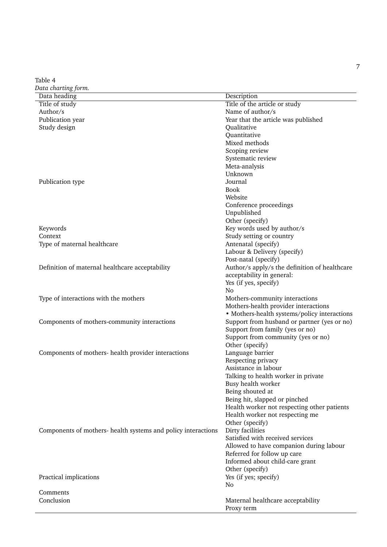Table 4 *Data charting form.*

| $\frac{1}{2}$<br>Data heading                                 | Description                                   |
|---------------------------------------------------------------|-----------------------------------------------|
|                                                               |                                               |
| Title of study                                                | Title of the article or study                 |
| Author/s                                                      | Name of author/s                              |
| Publication year                                              | Year that the article was published           |
| Study design                                                  | Qualitative                                   |
|                                                               | Quantitative                                  |
|                                                               | Mixed methods                                 |
|                                                               | Scoping review                                |
|                                                               | Systematic review                             |
|                                                               | Meta-analysis                                 |
|                                                               | Unknown                                       |
|                                                               |                                               |
| Publication type                                              | Journal                                       |
|                                                               | <b>Book</b>                                   |
|                                                               | Website                                       |
|                                                               | Conference proceedings                        |
|                                                               | Unpublished                                   |
|                                                               | Other (specify)                               |
| Keywords                                                      | Key words used by author/s                    |
| Context                                                       | Study setting or country                      |
| Type of maternal healthcare                                   | Antenatal (specify)                           |
|                                                               |                                               |
|                                                               | Labour & Delivery (specify)                   |
|                                                               | Post-natal (specify)                          |
| Definition of maternal healthcare acceptability               | Author/s apply/s the definition of healthcare |
|                                                               | acceptability in general:                     |
|                                                               | Yes (if yes, specify)                         |
|                                                               | No                                            |
| Type of interactions with the mothers                         | Mothers-community interactions                |
|                                                               | Mothers-health provider interactions          |
|                                                               | • Mothers-health systems/policy interactions  |
|                                                               | Support from husband or partner (yes or no)   |
| Components of mothers-community interactions                  |                                               |
|                                                               | Support from family (yes or no)               |
|                                                               | Support from community (yes or no)            |
|                                                               | Other (specify)                               |
| Components of mothers- health provider interactions           | Language barrier                              |
|                                                               | Respecting privacy                            |
|                                                               | Assistance in labour                          |
|                                                               | Talking to health worker in private           |
|                                                               | Busy health worker                            |
|                                                               | Being shouted at                              |
|                                                               |                                               |
|                                                               | Being hit, slapped or pinched                 |
|                                                               | Health worker not respecting other patients   |
|                                                               | Health worker not respecting me               |
|                                                               | Other (specify)                               |
| Components of mothers- health systems and policy interactions | Dirty facilities                              |
|                                                               | Satisfied with received services              |
|                                                               | Allowed to have companion during labour       |
|                                                               | Referred for follow up care                   |
|                                                               | Informed about child-care grant               |
|                                                               | Other (specify)                               |
|                                                               |                                               |
| Practical implications                                        | Yes (if yes; specify)                         |
|                                                               | No                                            |
| Comments                                                      |                                               |
| Conclusion                                                    | Maternal healthcare acceptability             |
|                                                               | Proxy term                                    |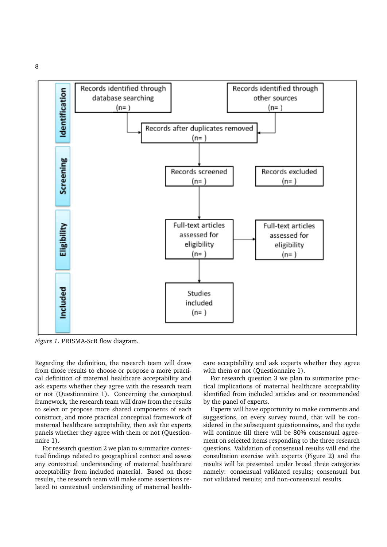8



*Figure 1*. PRISMA-ScR flow diagram.

Regarding the definition, the research team will draw from those results to choose or propose a more practical definition of maternal healthcare acceptability and ask experts whether they agree with the research team or not (Questionnaire 1). Concerning the conceptual framework, the research team will draw from the results to select or propose more shared components of each construct, and more practical conceptual framework of maternal healthcare acceptability, then ask the experts panels whether they agree with them or not (Questionnaire 1).

For research question 2 we plan to summarize contextual findings related to geographical context and assess any contextual understanding of maternal healthcare acceptability from included material. Based on those results, the research team will make some assertions related to contextual understanding of maternal healthcare acceptability and ask experts whether they agree with them or not (Ouestionnaire 1).

For research question 3 we plan to summarize practical implications of maternal healthcare acceptability identified from included articles and or recommended by the panel of experts.

Experts will have opportunity to make comments and suggestions, on every survey round, that will be considered in the subsequent questionnaires, and the cycle will continue till there will be 80% consensual agreement on selected items responding to the three research questions. Validation of consensual results will end the consultation exercise with experts (Figure 2) and the results will be presented under broad three categories namely: consensual validated results; consensual but not validated results; and non-consensual results.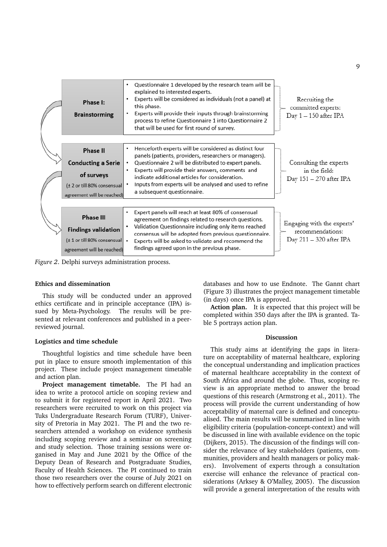| Phase I:<br><b>Brainstorming</b>                                                                            | Questionnaire 1 developed by the research team will be<br>explained to interested experts.<br>Experts will be considered as individuals (not a panel) at<br>this phase.<br>Experts will provide their inputs through brainstorming<br>process to refine Questionnaire 1 into Questionnaire 2<br>that will be used for first round of survey. | Recruiting the<br>committed experts:<br>Day 1 - 150 after IPA            |
|-------------------------------------------------------------------------------------------------------------|----------------------------------------------------------------------------------------------------------------------------------------------------------------------------------------------------------------------------------------------------------------------------------------------------------------------------------------------|--------------------------------------------------------------------------|
| <b>Phase II</b><br><b>Conducting a Serie</b><br>of surveys<br>(± 2 or till 80% consensual                   | Henceforth experts will be considered as distinct four<br>panels (patients, providers, researchers or managers).<br>Questionnaire 2 will be distributed to expert panels.<br>Experts will provide their answers, comments and<br>indicate additional articles for consideration.<br>Inputs from experts will be analysed and used to refine  | Consulting the experts<br>in the field:<br>Day 151 - 270 after IPA       |
| agreement will be reached)                                                                                  | a subsequent questionnaire.                                                                                                                                                                                                                                                                                                                  |                                                                          |
| <b>Phase III</b><br><b>Findings validation</b><br>(± 1 or till 80% consensual<br>agreement will be reached) | Expert panels will reach at least 80% of consensual<br>agreement on findings related to research questions.<br>Validation Questionnaire including only items reached<br>consensus will be adopted from previous questionnaire.<br>Experts will be asked to validate and recommend the<br>findings agreed upon in the previous phase.         | Engaging with the experts<br>recommendations:<br>Day 211 - 320 after IPA |

*Figure 2*. Delphi surveys administration process.

#### **Ethics and dissemination**

This study will be conducted under an approved ethics certificate and in principle acceptance (IPA) issued by Meta-Psychology. The results will be presented at relevant conferences and published in a peerreviewed journal.

#### **Logistics and time schedule**

Thoughtful logistics and time schedule have been put in place to ensure smooth implementation of this project. These include project management timetable and action plan.

**Project management timetable.** The PI had an idea to write a protocol article on scoping review and to submit it for registered report in April 2021. Two researchers were recruited to work on this project via Tuks Undergraduate Research Forum (TURF), University of Pretoria in May 2021. The PI and the two researchers attended a workshop on evidence synthesis including scoping review and a seminar on screening and study selection. Those training sessions were organised in May and June 2021 by the Office of the Deputy Dean of Research and Postgraduate Studies, Faculty of Health Sciences. The PI continued to train those two researchers over the course of July 2021 on how to effectively perform search on different electronic databases and how to use Endnote. The Gannt chart (Figure 3) illustrates the project management timetable (in days) once IPA is approved.

**Action plan.** It is expected that this project will be completed within 350 days after the IPA is granted. Table 5 portrays action plan.

#### **Discussion**

This study aims at identifying the gaps in literature on acceptability of maternal healthcare, exploring the conceptual understanding and implication practices of maternal healthcare acceptability in the context of South Africa and around the globe. Thus, scoping review is an appropriate method to answer the broad questions of this research (Armstrong et al., 2011). The process will provide the current understanding of how acceptability of maternal care is defined and conceptualised. The main results will be summarised in line with eligibility criteria (population-concept-context) and will be discussed in line with available evidence on the topic (Dijkers, 2015). The discussion of the findings will consider the relevance of key stakeholders (patients, communities, providers and health managers or policy makers). Involvement of experts through a consultation exercise will enhance the relevance of practical considerations (Arksey & O'Malley, 2005). The discussion will provide a general interpretation of the results with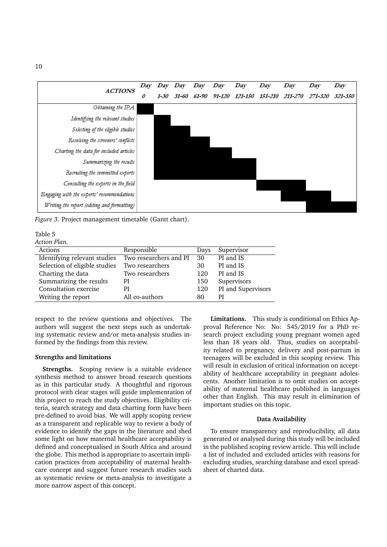

*Figure 3*. Project management timetable (Gantt chart).

#### Table 5

*Action Plan.*

| Actions                       | Responsible            | Days | Supervisor         |
|-------------------------------|------------------------|------|--------------------|
| Identifying relevant studies  | Two researchers and PI | 30   | PI and IS          |
| Selection of eligible studies | Two researchers        | 30   | PI and IS          |
| Charting the data             | Two researchers        | 120  | PI and IS          |
| Summarizing the results       | PI                     | 150  | Supervisors        |
| Consultation exercise         | PI                     | 120  | PI and Supervisors |
| Writing the report            | All co-authors         | 80   | РI                 |

respect to the review questions and objectives. The authors will suggest the next steps such as undertaking systematic review and/or meta-analysis studies informed by the findings from this review.

#### **Strengths and limitations**

**Strengths.** Scoping review is a suitable evidence synthesis method to answer broad research questions as in this particular study. A thoughtful and rigorous protocol with clear stages will guide implementation of this project to reach the study objectives. Eligibility criteria, search strategy and data charting form have been pre-defined to avoid bias. We will apply scoping review as a transparent and replicable way to review a body of evidence to identify the gaps in the literature and shed some light on how maternal healthcare acceptability is defined and conceptualised in South Africa and around the globe. This method is appropriate to ascertain implication practices from acceptability of maternal healthcare concept and suggest future research studies such as systematic review or meta-analysis to investigate a more narrow aspect of this concept.

**Limitations.** This study is conditional on Ethics Approval Reference No: No: 545/2019 for a PhD research project excluding young pregnant women aged less than 18 years old. Thus, studies on acceptability related to pregnancy, delivery and post-partum in teenagers will be excluded in this scoping review. This will result in exclusion of critical information on acceptability of healthcare acceptability in pregnant adolescents. Another limitation is to omit studies on acceptability of maternal healthcare published in languages other than English. This may result in elimination of important studies on this topic.

#### **Data Availability**

To ensure transparency and reproducibility, all data generated or analysed during this study will be included in the published scoping review article. This will include a list of included and excluded articles with reasons for excluding studies, searching database and excel spreadsheet of charted data.

10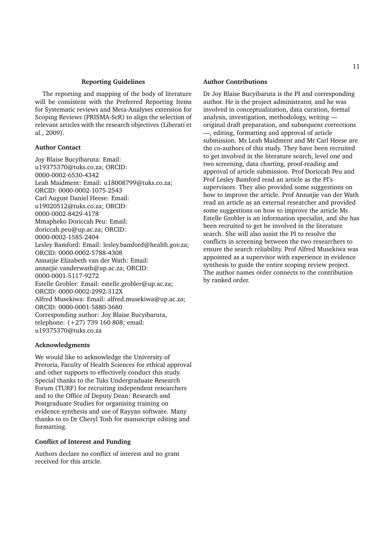#### **Reporting Guidelines**

The reporting and mapping of the body of literature will be consistent with the Preferred Reporting Items for Systematic reviews and Meta-Analyses extension for Scoping Reviews (PRISMA-ScR) to align the selection of relevant articles with the research objectives (Liberati et al., 2009).

#### **Author Contact**

Joy Blaise Bucyibaruta: Email: u19375370@tuks.co.za; ORCID: 0000-0002-6530-4342 Leah Maidment: Email: u18008799@tuks.co.za; ORCID: 0000-0002-1075-2543 Carl August Daniel Heese: Email: u19020512@tuks.co.za; ORCID: 0000-0002-8429-4178 Mmapheko Doriccah Peu: Email: doriccah.peu@up.ac.za; ORCID: 0000-0002-1585-2404 Lesley Bamford: Email: lesley.bamford@health.gov.za; ORCID: 0000-0002-5788-4308 Annatjie Elizabeth van der Wath: Email: annatjie.vanderwath@up.ac.za; ORCID: 0000-0001-5117-9272 Estelle Grobler: Email: estelle.grobler@up.ac.za; ORCID: 0000-0002-2992-312X Alfred Musekiwa: Email: alfred.musekiwa@up.ac.za; ORCID: 0000-0001-5880-3680 Corresponding author: Joy Blaise Bucyibaruta, telephone: (+27) 739 160 808; email: u19375370@tuks.co.za

#### **Acknowledgments**

We would like to acknowledge the University of Pretoria, Faculty of Health Sciences for ethical approval and other supports to effectively conduct this study. Special thanks to the Tuks Undergraduate Research Forum (TURF) for recruiting independent researchers and to the Office of Deputy Dean: Research and Postgraduate Studies for organising training on evidence synthesis and use of Rayyan software. Many thanks to to Dr Cheryl Tosh for manuscript editing and formatting.

#### **Conflict of Interest and Funding**

Authors declare no conflict of interest and no grant received for this article.

#### **Author Contributions**

Dr Joy Blaise Bucyibaruta is the PI and corresponding author. He is the project administrator, and he was involved in conceptualization, data curation, formal analysis, investigation, methodology, writing original draft preparation, and subsequent corrections —, editing, formatting and approval of article submission. Ms Leah Maidment and Mr Carl Heese are the co-authors of this study. They have been recruited to get involved in the literature search, level one and two screening, data charting, proof-reading and approval of article submission. Prof Doriccah Peu and Prof Lesley Bamford read an article as the PI's supervisors. They also provided some suggestions on how to improve the article. Prof Annatjie van der Wath read an article as an external researcher and provided some suggestions on how to improve the article Ms Estelle Grobler is an information specialist, and she has been recruited to get be involved in the literature search. She will also assist the PI to resolve the conflicts in screening between the two researchers to ensure the search reliability. Prof Alfred Musekiwa was appointed as a supervisor with experience in evidence synthesis to guide the entire scoping review project. The author names order connects to the contribution by ranked order.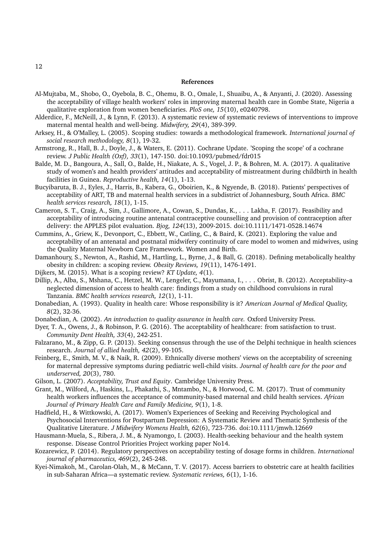#### **References**

- Al-Mujtaba, M., Shobo, O., Oyebola, B. C., Ohemu, B. O., Omale, I., Shuaibu, A., & Anyanti, J. (2020). Assessing the acceptability of village health workers' roles in improving maternal health care in Gombe State, Nigeria a qualitative exploration from women beneficiaries. *PloS one, 15*(10), e0240798.
- Alderdice, F., McNeill, J., & Lynn, F. (2013). A systematic review of systematic reviews of interventions to improve maternal mental health and well-being. *Midwifery, 29*(4), 389-399.
- Arksey, H., & O'Malley, L. (2005). Scoping studies: towards a methodological framework. *International journal of social research methodology, 8*(1), 19-32.
- Armstrong, R., Hall, B. J., Doyle, J., & Waters, E. (2011). Cochrane Update. 'Scoping the scope' of a cochrane review. *J Public Health (Oxf), 33*(1), 147-150. doi:10.1093/pubmed/fdr015
- Balde, M. D., Bangoura, A., Sall, O., Balde, H., Niakate, A. S., Vogel, J. P., & Bohren, M. A. (2017). A qualitative study of women's and health providers' attitudes and acceptability of mistreatment during childbirth in health facilities in Guinea. *Reproductive health, 14*(1), 1-13.
- Bucyibaruta, B. J., Eyles, J., Harris, B., Kabera, G., Oboirien, K., & Ngyende, B. (2018). Patients' perspectives of acceptability of ART, TB and maternal health services in a subdistrict of Johannesburg, South Africa. *BMC health services research, 18*(1), 1-15.
- Cameron, S. T., Craig, A., Sim, J., Gallimore, A., Cowan, S., Dundas, K., . . . Lakha, F. (2017). Feasibility and acceptability of introducing routine antenatal contraceptive counselling and provision of contraception after delivery: the APPLES pilot evaluation. *Bjog, 124*(13), 2009-2015. doi:10.1111/1471-0528.14674
- Cummins, A., Griew, K., Devonport, C., Ebbett, W., Catling, C., & Baird, K. (2021). Exploring the value and acceptability of an antenatal and postnatal midwifery continuity of care model to women and midwives, using the Quality Maternal Newborn Care Framework. Women and Birth.
- Damanhoury, S., Newton, A., Rashid, M., Hartling, L., Byrne, J., & Ball, G. (2018). Defining metabolically healthy obesity in children: a scoping review. *Obesity Reviews, 19*(11), 1476-1491.
- Dijkers, M. (2015). What is a scoping review? *KT Update, 4*(1).
- Dillip, A., Alba, S., Mshana, C., Hetzel, M. W., Lengeler, C., Mayumana, I., . . . Obrist, B. (2012). Acceptability–a neglected dimension of access to health care: findings from a study on childhood convulsions in rural Tanzania. *BMC health services research, 12*(1), 1-11.
- Donabedian, A. (1993). Quality in health care: Whose responsibility is it? *American Journal of Medical Quality, 8*(2), 32-36.
- Donabedian, A. (2002). *An introduction to quality assurance in health care.* Oxford University Press.
- Dyer, T. A., Owens, J., & Robinson, P. G. (2016). The acceptability of healthcare: from satisfaction to trust. *Community Dent Health, 33*(4), 242-251.
- Falzarano, M., & Zipp, G. P. (2013). Seeking consensus through the use of the Delphi technique in health sciences research. *Journal of allied health, 42*(2), 99-105.
- Feinberg, E., Smith, M. V., & Naik, R. (2009). Ethnically diverse mothers' views on the acceptability of screening for maternal depressive symptoms during pediatric well-child visits. *Journal of health care for the poor and underserved, 20*(3), 780.
- Gilson, L. (2007). *Acceptability, Trust and Equity*. Cambridge University Press.
- Grant, M., Wilford, A., Haskins, L., Phakathi, S., Mntambo, N., & Horwood, C. M. (2017). Trust of community health workers influences the acceptance of community-based maternal and child health services. *African Journal of Primary Health Care and Family Medicine, 9*(1), 1-8.
- Hadfield, H., & Wittkowski, A. (2017). Women's Experiences of Seeking and Receiving Psychological and Psychosocial Interventions for Postpartum Depression: A Systematic Review and Thematic Synthesis of the Qualitative Literature. *J Midwifery Womens Health, 62*(6), 723-736. doi:10.1111/jmwh.12669
- Hausmann-Muela, S., Ribera, J. M., & Nyamongo, I. (2003). Health-seeking behaviour and the health system response. Disease Control Priorities Project working paper No14.
- Kozarewicz, P. (2014). Regulatory perspectives on acceptability testing of dosage forms in children. *International journal of pharmaceutics, 469*(2), 245-248.
- Kyei-Nimakoh, M., Carolan-Olah, M., & McCann, T. V. (2017). Access barriers to obstetric care at health facilities in sub-Saharan Africa—a systematic review. *Systematic reviews, 6*(1), 1-16.